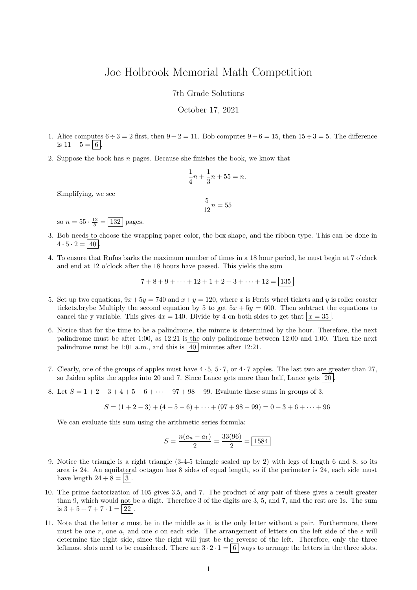## Joe Holbrook Memorial Math Competition

7th Grade Solutions

October 17, 2021

- 1. Alice computes  $6 \div 3 = 2$  first, then  $9 + 2 = 11$ . Bob computes  $9 + 6 = 15$ , then  $15 \div 3 = 5$ . The difference is  $11 - 5 = 6$ .
- 2. Suppose the book has n pages. Because she finishes the book, we know that

$$
\frac{1}{4}n + \frac{1}{3}n + 55 = n.
$$

Simplifying, we see

$$
\frac{5}{12}n = 55
$$

so  $n = 55 \cdot \frac{12}{5} = \boxed{132}$  pages.

- 3. Bob needs to choose the wrapping paper color, the box shape, and the ribbon type. This can be done in  $4 \cdot 5 \cdot 2 = |40|$ .
- 4. To ensure that Rufus barks the maximum number of times in a 18 hour period, he must begin at 7 o'clock and end at 12 o'clock after the 18 hours have passed. This yields the sum

$$
7+8+9+\cdots+12+1+2+3+\cdots+12=|135|
$$

- 5. Set up two equations,  $9x + 5y = 740$  and  $x + y = 120$ , where x is Ferris wheel tickets and y is roller coaster tickets.brybe Multiply the second equation by 5 to get  $5x + 5y = 600$ . Then subtract the equations to cancel the y variable. This gives  $4x = 140$ . Divide by 4 on both sides to get that  $x = 35$ .
- 6. Notice that for the time to be a palindrome, the minute is determined by the hour. Therefore, the next palindrome must be after 1:00, as 12:21 is the only palindrome between 12:00 and 1:00. Then the next palindrome must be 1:01 a.m., and this is  $\vert 40 \vert$  minutes after 12:21.
- 7. Clearly, one of the groups of apples must have 4 · 5, 5 · 7, or 4 · 7 apples. The last two are greater than 27, so Jaiden splits the apples into 20 and 7. Since Lance gets more than half, Lance gets  $|20|$
- 8. Let  $S = 1 + 2 3 + 4 + 5 6 + \cdots + 97 + 98 99$ . Evaluate these sums in groups of 3.

$$
S = (1 + 2 - 3) + (4 + 5 - 6) + \dots + (97 + 98 - 99) = 0 + 3 + 6 + \dots + 96
$$

We can evaluate this sum using the arithmetic series formula:

$$
S = \frac{n(a_n - a_1)}{2} = \frac{33(96)}{2} = \boxed{1584}
$$

- 9. Notice the triangle is a right triangle (3-4-5 triangle scaled up by 2) with legs of length 6 and 8, so its area is 24. An equilateral octagon has 8 sides of equal length, so if the perimeter is 24, each side must have length  $24 \div 8 = |3|$ .
- 10. The prime factorization of 105 gives 3,5, and 7. The product of any pair of these gives a result greater than 9, which would not be a digit. Therefore 3 of the digits are 3, 5, and 7, and the rest are 1s. The sum is  $3 + 5 + 7 + 7 \cdot 1 = |22|$ .
- 11. Note that the letter e must be in the middle as it is the only letter without a pair. Furthermore, there must be one r, one a, and one c on each side. The arrangement of letters on the left side of the e will determine the right side, since the right will just be the reverse of the left. Therefore, only the three leftmost slots need to be considered. There are  $3 \cdot 2 \cdot 1 = 6$  ways to arrange the letters in the three slots.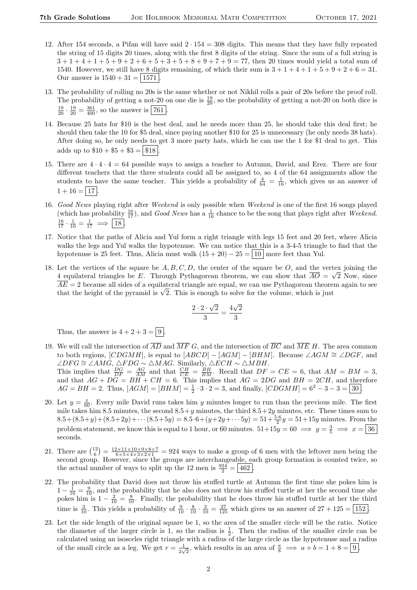- 12. After 154 seconds, a Pifan will have said  $2 \cdot 154 = 308$  digits. This means that they have fully repeated the string of 15 digits 20 times, along with the first 8 digits of the string. Since the sum of a full string is  $3+1+4+1+5+9+2+6+5+3+5+8+9+7+9=77$ , then 20 times would yield a total sum of 1540. However, we still have 8 digits remaining, of which their sum is  $3+1+4+1+5+9+2+6=31$ . Our answer is  $1540 + 31 = | 1571 |$ .
- 13. The probability of rolling no 20s is the same whether or not Nikhil rolls a pair of 20s before the proof roll. The probability of getting a not-20 on one die is  $\frac{19}{20}$ , so the probability of getting a not-20 on both dice is  $\frac{19}{20} \cdot \frac{19}{20} = \frac{361}{400}$ , so the answer is  $\boxed{761}$ .
- 14. Because 25 hats for \$10 is the best deal, and he needs more than 25, he should take this deal first; he should then take the 10 for \$5 deal, since paying another \$10 for 25 is unnecessary (he only needs 38 hats). After doing so, he only needs to get 3 more party hats, which he can use the 1 for \$1 deal to get. This adds up to  $\$10 + \$5 + \$3 = \$18$
- 15. There are  $4 \cdot 4 \cdot 4 = 64$  possible ways to assign a teacher to Autumn, David, and Erez. There are four different teachers that the three students could all be assigned to, so 4 of the 64 assignments allow the students to have the same teacher. This yields a probability of  $\frac{4}{64} = \frac{1}{16}$ , which gives us an answer of  $1 + 16 = |17|$
- 16. Good News playing right after Weekend is only possible when Weekend is one of the first 16 songs played (which has probability  $\frac{16}{17}$ ), and *Good News* has a  $\frac{1}{16}$  chance to be the song that plays right after *Weekend*.  $\frac{16}{17} \cdot \frac{1}{16} = \frac{1}{17} \implies 18.$
- 17. Notice that the paths of Alicia and Yul form a right triangle with legs 15 feet and 20 feet, where Alicia walks the legs and Yul walks the hypotenuse. We can notice that this is a 3-4-5 triangle to find that the hypotenuse is 25 feet. Thus, Alicia must walk  $(15 + 20) - 25 = |10|$  more feet than Yul.
- 18. Let the vertices of the square be  $A, B, C, D$ , the center of the square be O, and the vertex joining the 4 equilateral triangles be E. Through Pythagorean theorem, we can show that  $AO = \sqrt{2}$  Now, since  $\overline{AE} = 2$  because all sides of a equilateral triangle are equal, we can use Pythagorean theorem again to see  $AE = 2$  because all sides of a equilateral triangle are equal, we can use Pythagorean theore<br>that the height of the pyramid is  $\sqrt{2}$ . This is enough to solve for the volume, which is just

$$
\frac{2\cdot 2\cdot \sqrt{2}}{3} = \frac{4\sqrt{2}}{3}
$$

Thus, the answer is  $4 + 2 + 3 = \boxed{9}$ 

- 19. We will call the intersection of  $\overline{AD}$  and  $\overline{MF} G$ , and the intersection of  $\overline{BC}$  and  $\overline{ME} H$ . The area common to both regions, [CDGMH], is equal to  $[ABCD] - [AGM] - [BHM]$ . Because ∠AGM  $\cong \angle DGF$ , and  $\angle DFG \cong \angle AMG$ ,  $\triangle FDG \sim \triangle MAG$ . Similarly,  $\triangle ECH \sim \triangle MBH$ . This implies that  $\frac{DG}{DF} = \frac{AG}{AM}$  and that  $\frac{CH}{CE} = \frac{BH}{BM}$ . Recall that  $DF = CE = 6$ , that  $AM = BM = 3$ , and that  $AG + DG = BH + CH = 6$ . This implies that  $AG = 2DG$  and  $BH = 2CH$ , and therefore  $AG = BH = 2$ . Thus,  $[AGM] = [BHM] = \frac{1}{2} \cdot 3 \cdot 2 = 3$ , and finally,  $[CDGMH] = 6^2 - 3 - 3 = 30$ .
- 20. Let  $y = \frac{x}{60}$ . Every mile David runs takes him y minutes longer to run than the previous mile. The first mile takes him 8.5 minutes, the second  $8.5+y$  minutes, the third  $8.5+2y$  minutes, etc. These times sum to  $8.5+(8.5+y)+(8.5+2y)+\cdots(8.5+5y)=8.5\cdot 6+(y+2y+\cdots 5y)=51+\frac{5\cdot 6}{2}y=51+15y$  minutes. From the problem statement, we know this is equal to 1 hour, or 60 minutes.  $51+15y=60 \implies y=\frac{3}{5} \implies x=\boxed{36}$ seconds.
- 21. There are  $\binom{12}{6} = \frac{12 \times 11 \times 10 \times 9 \times 8 \times 7}{6 \times 5 \times 4 \times 3 \times 2 \times 1} = 924$  ways to make a group of 6 men with the leftover men being the second group. However, since the groups are interchangeable, each group formation is counted twice, so the actual number of ways to split up the 12 men is  $\frac{924}{2} = 462$ .
- 22. The probability that David does not throw his stuffed turtle at Autumn the first time she pokes him is  $1-\frac{1}{10}=\frac{9}{10}$ , and the probability that he also does not throw his stuffed turtle at her the second time she pokes him is  $1 - \frac{2}{10} = \frac{8}{10}$ . Finally, the probability that he does throw his stuffed turtle at her the third time is  $\frac{3}{10}$ . This yields a probability of  $\frac{9}{10} \cdot \frac{8}{10} \cdot \frac{3}{10} = \frac{27}{125}$  which gives us an answer of  $27 + 125 = \boxed{152}$ .
- 23. Let the side length of the original square be 1, so the area of the smaller circle will be the ratio. Notice the diameter of the larger circle is 1, so the radius is  $\frac{1}{2}$ . Then the radius of the smaller circle can be calculated using an isosceles right triangle with a radius of the large circle as the hypotenuse and a radius of the small circle as a leg. We get  $r = \frac{1}{2}$  $\frac{1}{2\sqrt{2}}$ , which results in an area of  $\frac{\pi}{8} \implies a+b=1+8=[9]$ .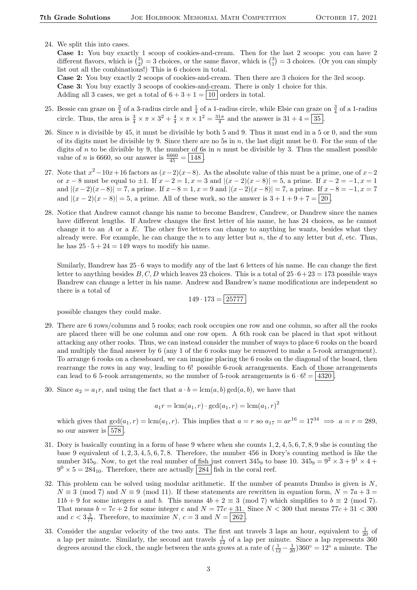24. We split this into cases.

Case 1: You buy exactly 1 scoop of cookies-and-cream. Then for the last 2 scoops: you can have 2 different flavors, which is  $\binom{3}{2} = 3$  choices, or the same flavor, which is  $\binom{3}{1} = 3$  choices. (Or you can simply list out all the combinations!) This is 6 choices in total.

Case 2: You buy exactly 2 scoops of cookies-and-cream. Then there are 3 choices for the 3rd scoop. Case 3: You buy exactly 3 scoops of cookies-and-cream. There is only 1 choice for this. Adding all 3 cases, we get a total of  $6 + 3 + 1 = |10|$  orders in total.

- 25. Bessie can graze on  $\frac{3}{4}$  of a 3-radius circle and  $\frac{1}{4}$  of a 1-radius circle, while Elsie can graze on  $\frac{3}{4}$  of a 1-radius circle. Thus, the area is  $\frac{3}{4} \times \pi \times 3^2 + \frac{4}{4} \times \pi \times 1^2 = \frac{31\pi}{4}$  and the answer is  $31 + 4 = 35$ .
- 26. Since  $n$  is divisible by 45, it must be divisible by both 5 and 9. Thus it must end in a 5 or 0, and the sum of its digits must be divisible by 9. Since there are no 5s in  $n$ , the last digit must be 0. For the sum of the digits of n to be divisible by 9, the number of 6s in n must be divisible by 3. Thus the smallest possible value of *n* is 6660, so our answer is  $\frac{6660}{45} = 148$ .
- 27. Note that  $x^2-10x+16$  factors as  $(x-2)(x-8)$ . As the absolute value of this must be a prime, one of  $x-2$ or x − 8 must be equal to  $\pm 1$ . If  $x - 2 = 1, x = 3$  and  $|(x - 2)(x - 8)| = 5$ , a prime. If  $x - 2 = -1, x = 1$ and  $|(x-2)(x-8)| = 7$ , a prime. If  $x-8 = 1$ ,  $x = 9$  and  $|(x-2)(x-8)| = 7$ , a prime. If  $x-8 = -1$ ,  $x = 7$ and  $|(x-2)(x-8)|=5$ , a prime. All of these work, so the answer is  $3+1+9+7=20$ .
- 28. Notice that Andrew cannot change his name to become Bandrew, Candrew, or Dandrew since the names have different lengths. If Andrew changes the first letter of his name, he has 24 choices, as he cannot change it to an  $A$  or a  $E$ . The other five letters can change to anything he wants, besides what they already were. For example, he can change the n to any letter but n, the d to any letter but d, etc. Thus, he has  $25 \cdot 5 + 24 = 149$  ways to modify his name.

Similarly, Bandrew has  $25 \cdot 6$  ways to modify any of the last 6 letters of his name. He can change the first letter to anything besides  $B, C, D$  which leaves 23 choices. This is a total of  $25 \cdot 6 + 23 = 173$  possible ways Bandrew can change a letter in his name. Andrew and Bandrew's name modifications are independent so there is a total of

$$
149 \cdot 173 = |25777|
$$

possible changes they could make.

- 29. There are 6 rows/columns and 5 rooks; each rook occupies one row and one column, so after all the rooks are placed there will be one column and one row open. A 6th rook can be placed in that spot without attacking any other rooks. Thus, we can instead consider the number of ways to place 6 rooks on the board and multiply the final answer by 6 (any 1 of the 6 rooks may be removed to make a 5-rook arrangement). To arrange 6 rooks on a chessboard, we can imagine placing the 6 rooks on the diagonal of the board, then rearrange the rows in any way, leading to 6! possible 6-rook arrangements. Each of those arrangements can lead to 6 5-rook arrangements, so the number of 5-rook arrangements is  $6 \cdot 6! = |4320|$ .
- 30. Since  $a_2 = a_1r$ , and using the fact that  $a \cdot b = \text{lcm}(a, b) \text{ gcd}(a, b)$ , we have that

$$
a_1r = \text{lcm}(a_1, r) \cdot \text{gcd}(a_1, r) = \text{lcm}(a_1, r)^2
$$

which gives that  $gcd(a_1, r) = lcm(a_1, r)$ . This implies that  $a = r$  so  $a_{17} = ar^{16} = 17^{34} \implies a = r = 289$ . so our answer is  $578$ .

- 31. Dory is basically counting in a form of base 9 where when she counts 1, 2, 4, 5, 6, 7, 8, 9 she is counting the base 9 equivalent of 1, 2, 3, 4, 5, 6, 7, 8. Therefore, the number 456 in Dory's counting method is like the number 345<sub>9</sub>. Now, to get the real number of fish just convert 345<sub>9</sub> to base 10.  $345<sub>9</sub> = 9<sup>2</sup> \times 3 + 9<sup>1</sup> \times 4 +$  $9^0 \times 5 = 284_{10}$ . Therefore, there are actually [284] fish in the coral reef.
- 32. This problem can be solved using modular arithmetic. If the number of peanuts Dumbo is given is  $N$ ,  $N \equiv 3 \pmod{7}$  and  $N \equiv 9 \pmod{11}$ . If these statements are rewritten in equation form,  $N = 7a + 3 =$  $11b + 9$  for some integers a and b. This means  $4b + 2 \equiv 3 \pmod{7}$  which simplifies to  $b \equiv 2 \pmod{7}$ . That means  $b = 7c + 2$  for some integer c and  $N = 77c + 31$ . Since  $N < 300$  that means  $77c + 31 < 300$ and  $c < 3\frac{3}{77}$ . Therefore, to maximize N,  $c = 3$  and  $N = 262$ .
- 33. Consider the angular velocity of the two ants. The first ant travels 3 laps an hour, equivalent to  $\frac{1}{20}$  of a lap per minute. Similarly, the second ant travels  $\frac{1}{12}$  of a lap per minute. Since a lap represents 360 degrees around the clock, the angle between the ants grows at a rate of  $(\frac{1}{12} - \frac{1}{20})360° = 12°$  a minute. The